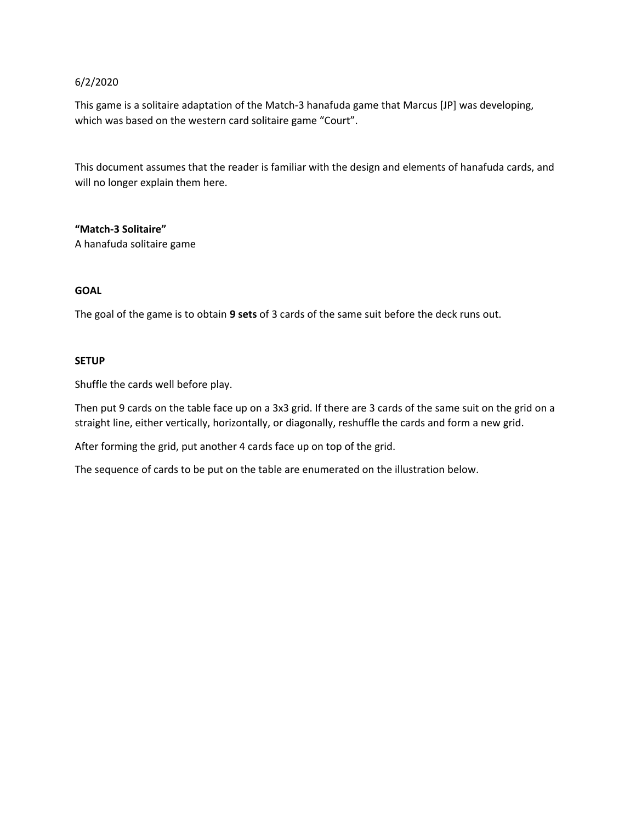## 6/2/2020

This game is a solitaire adaptation of the Match-3 hanafuda game that Marcus [JP] was developing, which was based on the western card solitaire game "Court".

This document assumes that the reader is familiar with the design and elements of hanafuda cards, and will no longer explain them here.

**"Match-3 Solitaire"**

A hanafuda solitaire game

## **GOAL**

The goal of the game is to obtain **9 sets** of 3 cards of the same suit before the deck runs out.

## **SETUP**

Shuffle the cards well before play.

Then put 9 cards on the table face up on a 3x3 grid. If there are 3 cards of the same suit on the grid on a straight line, either vertically, horizontally, or diagonally, reshuffle the cards and form a new grid.

After forming the grid, put another 4 cards face up on top of the grid.

The sequence of cards to be put on the table are enumerated on the illustration below.